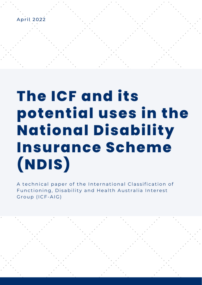

**(NDIS)**

# *A technical paper of the International Classification of Functioning, Disability and Health Australia Interest*  potential uses in the **National Disability Insurance Scheme** (NDIS)

**The ICF and its potential uses in the** 

**National Disability Insurance Scheme** 

A technical paper of the International Classification of Functioning, Disability and Health Australia Interest Group (ICF-AIG)

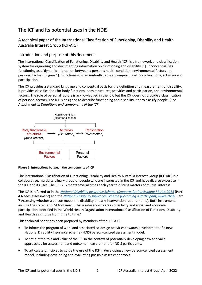# The ICF and its potential uses in the NDIS

# A technical paper of the International Classification of Functioning, Disability and Health Australia Interest Group (ICF-AIG)

### Introduction and purpose of this document

The International Classification of Functioning, Disability and Health (ICF) is a framework and classification system for organising and documenting information on functioning and disability [1]. It conceptualises functioning as a 'dynamic interaction between a person's health condition, environmental factors and personal factors' (Figure 1). 'Functioning' is an umbrella term encompassing all body functions, activities and participation.

The ICF provides a standard language and conceptual basis for the definition and measurement of disability. It provides classifications for body functions, body structures, activities and participation, and environmental factors. The role of personal factors is acknowledged in the ICF, but the ICF does not provide a classification of personal factors. The ICF is designed to describe functioning and disability, *not* to classify people. (See Attachment 1: *Definitions and components of the ICF*)



#### **Figure 1: Interactions between the components of ICF**

The International Classification of Functioning, Disability and Health Australia Interest Group (ICF-AIG) is a collaborative, multidisciplinary group of people who are interested in the ICF and have diverse expertise in the ICF and its uses. The ICF-AIG meets several times each year to discuss matters of mutual interest.

The ICF is referred to in the *[National Disability Insurance Scheme \(Supports for](https://www.legislation.gov.au/Details/F2013L01063) Participants) Rules 2013* (Part 4 Needs assessment) and the *[National Disability Insurance Scheme \(Becoming a Participant\) Rules 2016](https://www.legislation.gov.au/Series/F2016L00544)* (Part 7 Assessing whether a person meets the disability or early intervention requirements). Both instruments include the statement: "A tool must … have reference to areas of activity and social and economic participation identified in the World Health Organisation International Classification of Functions, Disability and Health as in force from time to time."

This technical paper has been prepared by members of the ICF-AIG:

- To inform the program of work and associated co-design activities towards development of a new National Disability Insurance Scheme (NDIS) person-centred assessment model.
- To set out the role and value of the ICF in the context of potentially developing new and valid approaches for assessment and outcome measurement for NDIS participants.
- To articulate principles to guide the use of the ICF in developing a new person-centred assessment model, including developing and evaluating possible assessment tools.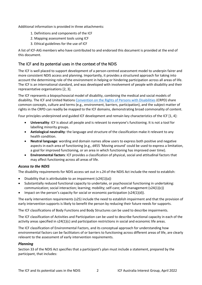Additional information is provided in three attachments:

- 1. Definitions and components of the ICF
- 2. Mapping assessment tools using ICF
- 3. Ethical guidelines for the use of ICF

A list of ICF-AIG members who have contributed to and endorsed this document is provided at the end of this document.

# The ICF and its potential uses in the context of the NDIS

The ICF is well placed to support development of a person-centred assessment model to underpin fairer and more consistent NDIS access and planning. Importantly, it provides a structured approach for taking into account the determining role of the environment in helping or hindering participation across all areas of life. The ICF is an international standard, and was developed with involvement of people with disability and their representative organisations [2, 3].

The ICF represents a biopsychosocial model of disability, combining the medical and social models of disability. The ICF and United Nations [Convention on the Rights of Persons with Disabilities](https://www.ohchr.org/en/instruments-mechanisms/instruments/convention-rights-persons-disabilities#35) (CRPD) share common concepts, culture and terms (e.g., environment, barriers, participation), and the subject matter of rights in the CRPD can readily be mapped to the ICF domains, demonstrating broad commonality of content.

Four principles underpinned and guided ICF development and remain key characteristics of the ICF [1, 4]:

- **Universality**: ICF is about all people and is relevant to everyone's functioning. It is not a tool for labelling minority groups.
- **Aetiological neutrality**: the language and structure of the classification make it relevant to any health condition.
- **Neutral language**: wording and domain names allow users to express both positive and negative aspects in each area of functioning (e.g., d455 'Moving around' could be used to express a limitation, a goal for improved functioning, or an area in which functioning has improved over time).
- **Environmental factors**: ICF provides a classification of physical, social and attitudinal factors that may affect functioning across all areas of life.

#### *Access to the NDIS*

The disability requirements for NDIS access set out in s.24 of the NDIS Act include the need to establish:

- Disability that is attributable to an impairment (s24(1)(a))
- Substantially reduced functional capacity to undertake, or psychosocial functioning in undertaking: communication; social interaction; learning; mobility; self-care; self-management (s24(1)(c))
- Impact on the person's capacity for social or economic participation  $(s24(1)(d))$ .

The early intervention requirements (s25) include the need to establish impairment and that the provision of early intervention supports is likely to benefit the person by reducing their future needs for supports.

The ICF classifications of Body Functions and Body Structures can be used to describe impairments.

The ICF classification of Activities and Participation can be used to describe functional capacity in each of the activity areas specified in s24(1)(c) and participation restrictions in social and economic life areas.

The ICF classification of Environmental Factors, and its conceptual approach for understanding how environmental factors can be facilitators of or barriers to functioning across different areas of life, are clearly relevant to the assessment of early intervention requirements.

#### *Planning*

Section 33 of the NDIS Act specifies that a participant's plan must include a statement, prepared by the participant, that includes: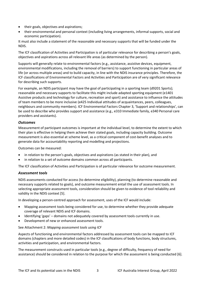- their goals, objectives and aspirations;
- their environmental and personal context (including living arrangements, informal supports, social and economic participation).

It must also include a statement of the reasonable and necessary supports that will be funded under the NDIS.

The ICF classification of Activities and Participation is of particular relevance for describing a person's goals, objectives and aspirations across all relevant life areas (as determined by the person).

Supports will generally relate to environmental factors (e.g., assistance, assistive devices, equipment, environmental modifications, including the removal of barriers) to support functioning in particular areas of life (or across multiple areas) and to build capacity, in line with the NDIS insurance principles. Therefore, the ICF classifications of Environmental Factors and Activities and Participation are of very significant relevance for describing such supports.

For example, an NDIS participant may have the goal of participating in a sporting team (d9201 Sports); reasonable and necessary supports to facilitate this might include adapted sporting equipment (e1401 Assistive products and technology for culture, recreation and sport) and assistance to influence the attitudes of team members to be more inclusive (e425 Individual attitudes of acquaintances, peers, colleagues, neighbours and community members). ICF Environmental Factors Chapter 3, 'Support and relationships', can be used to describe who provides support and assistance (e.g., e310 Immediate family, e340 Personal care providers and assistants).

#### *Outcomes*

Measurement of participant outcomes is important at the individual level, to determine the extent to which their plan is effective in helping them achieve their stated goals, including capacity building. Outcome measurement is also essential at scheme level, as a critical component of cost-benefit analyses and to generate data for accountability reporting and modelling and projections.

Outcomes can be measured:

- in relation to the person's goals, objectives and aspirations (as stated in their plan), and
- in relation to a set of outcome domains common across all participants.

The ICF classification of Activities and Participation is of particular relevance for outcome measurement.

#### *Assessment tools*

NDIS assessments conducted for access (to determine eligibility), planning (to determine reasonable and necessary supports related to goals), and outcome measurement entail the use of assessment tools. In selecting appropriate assessment tools, consideration should be given to evidence of tool reliability and validity in the NDIS context [5].

In developing a person-centred approach for assessment, uses of the ICF would include:

- Mapping assessment tools being considered for use, to determine whether they provide adequate coverage of relevant NDIS and ICF domains.
- Identifying 'gaps' domains not adequately covered by assessment tools currently in use.
- Development of new or enhanced assessment tools.

#### See Attachment 2: *Mapping assessment tools using ICF*

Aspects of functioning and environmental factors addressed by assessment tools can be mapped to ICF domains (chapters and more detailed codes) in the ICF classifications of body functions, body structures, activities and participation, and environmental factors.

The measurement constructs used in particular tools (e.g., degree of difficulty, frequency of need for assistance) should be considered in relation to the purpose for which the assessment is being conducted [6].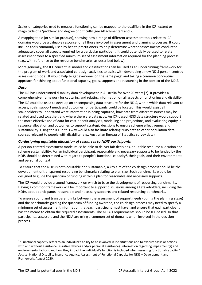Scales or categories used to measure functioning can be mapped to the qualifiers in the ICF: extent or magnitude of a 'problem' and degree of difficulty (see Attachments 1 and 2).

A mapping table (or similar product), showing how a range of different assessment tools relate to ICF domains would be a valuable resource for all those involved in assessment and planning processes. It could include tools commonly used by health practitioners, to help determine whether assessments conducted adequately cover all aspects required for a particular participant. It could potentially be used to relate assessment tools to a specified minimum set of assessment information required for the planning process (e.g., with reference to the resource benchmarks, as described below).

More generally, the ICF conceptual model and classifications can be used as an underpinning framework for the program of work and associated co-design activities to assist with developing a new NDIS person-centred assessment model. It would help to get everyone 'on the same page' and taking a common conceptual approach for thinking about functional capacity, goals, supports and resourcing in the context of the NDIS.

#### *Data*

The ICF has underpinned disability data development in Australia for over 20 years [7]. It provides a comprehensive framework for capturing and relating information on all aspects of functioning and disability. The ICF could be used to develop an encompassing data structure for the NDIS, within which data relevant to access, goals, support needs and outcomes for participants could be located. This would assist all stakeholders to understand what information is being captured, how data from different sources may be related and used together, and where there are data gaps. An ICF-based NDIS data structure would support the more effective use of data for cost-benefit analyses, modelling and projections, and evaluating equity in resource allocation and outcomes to support strategic decisions to ensure scheme effectiveness and sustainability. Using the ICF in this way would also facilitate relating NDIS data to other population data sources relevant to people with disability (e.g., Australian Bureau of Statistics survey data).

#### *Co-designing equitable allocation of resources to NDIS participants*

A person-centred assessment model must be able to deliver fair decisions, equitable resource allocation and scheme sustainability. For an individual participant, reasonable and necessary supports to be funded by the NDIS should be determined with regard to people's functional capacity<sup>[1](#page-4-0)</sup>, their goals, and their environmental and personal context.

To ensure that the NDIS is both equitable and sustainable, a key aim of the co-design process should be the development of transparent resourcing benchmarks relating to plan size. Such benchmarks would be designed to guide the quantum of funding within a plan for reasonable and necessary supports.

The ICF would provide a sound framework on which to base the development of resourcing benchmarks. Having a common framework will be important to support discussions among all stakeholders, including the NDIA, about participants' reasonable and necessary supports and related resourcing benchmarks.

To ensure sound and transparent links between the assessment of support needs (during the planning stage) and the benchmarks guiding the quantum of funding awarded, the co-design process may need to specify a minimum set of assessment information that each participant must have, and ensure that each participant has the means to obtain the required assessments. The NDIA's requirements should be ICF-based, so that participants, assessors and the NDIA are using a common set of domains when involved in the decision process.

<span id="page-4-0"></span> $1$  "Functional capacity refers to an individual's ability to be involved in life situations and to execute tasks or actions, with and without assistance (assistive devices and/or personal assistance). Information regarding impairment(s) and environmental factors, and how they impact the individual's function is included when assessing functional capacity." *Source*: National Disability Insurance Agency. Assessment of Functional Capacity for NDIS – Development and Framework. August 2020.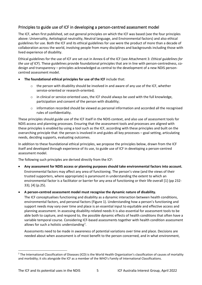## Principles to guide use of ICF in developing a person-centred assessment model

The ICF, when first published, set out general principles on which the ICF was based (see the four principles above: Universality, Aetiological neutrality, Neutral language, and Environmental factors) and also ethical guidelines for use. Both the ICF and its ethical guidelines for use were the product of more than a decade of collaboration across the world, involving people from many disciplines and backgrounds including those with lived experience of disability.

Ethical guidelines for the use of ICF are set out in Annex 6 of the ICF (see Attachment 3: *Ethical guidelines for the use of ICF*). These guidelines provide foundational principles that are in line with person-centredness, codesign and transparency – principles acknowledged as central to the development of a new NDIS personcentred assessment model.

- **The foundational ethical principles for use of the ICF** include that:
	- $\circ$  the person with disability should be involved in and aware of any use of the ICF, whether service-oriented or research-oriented;
	- $\circ$  in clinical or service-oriented uses, the ICF should always be used with the full knowledge, participation and consent of the person with disability;
	- $\circ$  information recorded should be viewed as personal information and accorded all the recognised rules of confidentiality.

These principles should guide use of the ICF itself in the NDIS context, and also use of assessment tools for NDIS access and planning processes. Ensuring that the assessment tools and processes are aligned with these principles is enabled by using a tool such as the ICF, according with these principles and built on the overarching principle that: the person is involved in and guides all key processes – goal setting, articulating needs, deciding supports, evaluating outcomes.

In addition to these foundational ethical principles, we propose the principles below, drawn from the ICF itself and developed through experience of its use, to guide use of ICF in developing a person-centred assessment model.

The following such principles are derived directly from the ICF:

• **Any assessment for NDIS access or planning purposes should take environmental factors into account.**  Environmental factors may affect any area of functioning. The person's view (and the views of their trusted supporters, where appropriate) is paramount in understanding the extent to which an environmental factor is a facilitator or barrier for any area of functioning or their life overall [1] (pp 232- 33); [4] (p.25).

#### • **A person-centred assessment model must recognise the dynamic nature of disability.**

The ICF conceptualises functioning and disability as a dynamic interaction between health conditions, environmental factors, and personal factors (Figure 1). Understanding how a person's functioning and support needs may vary over time and place is an essential input to equitable and effective access and planning assessment. In assessing disability-related needs it is also essential for assessment tools to be able both to capture, and respond to, the possible dynamic effects of health conditions that often have a variable temporal course. Considering ICF-based assessments together with health condition assessment allows for such a holistic understanding<sup>[2](#page-5-0)</sup>.

Assessments need to be made in awareness of potential variations over time and place. Decisions are needed about when assessment is of most benefit to the person concerned, and in what environment,

<span id="page-5-0"></span><sup>&</sup>lt;sup>2</sup> The International Classification of Diseases (ICD) is the World Health Organization's classification of causes of mortality and morbidity; it sits alongside the ICF as a member of the WHO's Family of International Classifications.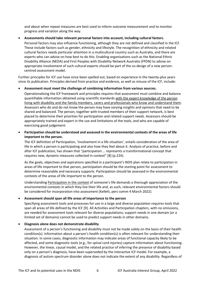and about when repeat measures are best used to inform outcome measurement and to monitor progress and variation along the way.

#### • **Assessments should take relevant personal factors into account, including cultural factors.**

Personal factors may also influence functioning, although they are not defined and classified in the ICF. These include factors such as gender, ethnicity and lifestyle. The recognition of ethnicity and related cultural factors needs particular attention in a multicultural country such as Australia, and there are experts who can advise on how best to do this. Enabling organisations such as the National Ethnic Disability Alliance (NEDA) and First Peoples with Disability Network Australia (FPDN) to advise on appropriate involvement of such cultural experts should be part of the co-design of a new personcentred assessment model.

Further principles for ICF use have since been spelled out, based on experience in the twenty-plus years since its publication. Principles derived from practice and evidence, as well as misuse of the ICF, include:

#### • **Assessment must meet the challenge of combining information from various sources.**

Operationalising the ICF framework and principles requires that assessment must combine and balance quantifiable information obtained using scientific standards with the expert knowledge of the person living with disability and the family members, carers and professionals who know and understand them. Assessors who do and do not know the person may have varying insights and opinions that need to be shared and balanced. The person, together with trusted members of their support network, is best placed to determine their priorities for participation and related support needs. Assessors should be appropriately trained and expert in the use and limitations of the tools, and who are capable of exercising good judgement.

#### • **Participation should be understood and assessed in the environmental contexts of the areas of life important to the person.**

The ICF definition of Participation, 'involvement in a life situation', entails consideration of the area of life in which a person is participating and also how they feel about it. Analysis of practice, before and after ICF publication, has shown that "participation … represents a transformational concept that requires new, dynamic measures collected in context" [8] (p.224).

As the goals, objectives and aspirations specified in a participant's NDIS plan relate to participation in areas of life important to that person, participation should be the starting point for assessment to determine reasonable and necessary supports. Participation should be assessed in the environmental contexts of the areas of life important to the person.

Understanding Participation in the context of someone's life demands a thorough appreciation of the environmental contexts in which they live their life and, as such, relevant environmental factors should be considered for incorporation into assessment (Kellett, pers comm 4 March 2022).

#### • **Assessment should span all life areas of importance to the person**

Specifying assessment tools and processes for use in a large and diverse population requires tools that span all areas of life defined by the ICF [9]. All Activities and Participation chapters, with no omissions, are needed for assessment tools relevant for diverse populations; support needs in one domain (or a limited set of domains) cannot be used to predict support needs in other domains.

#### • **Diagnosis alone does not demonstrate disability**

Assessment of a person's functioning and disability must not be made solely on the basis of their health condition(s). Information about a person's health condition(s) is often relevant for understanding their situation. In some cases, diagnostic information may indicate areas of functional capacity likely to be affected, and some diagnostic tools (e.g., for spinal cord injuries) capture information about functioning. However, the linear, causal model, and the related practice of inferring the presence of disability based only on a person's diagnosis, have been superseded by the interactive ICF model. For example, a diagnosis of autism spectrum disorder alone does not indicate the extent of any disability. Regardless of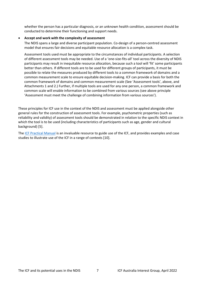whether the person has a particular diagnosis, or an unknown health condition, assessment should be conducted to determine their functioning and support needs.

#### • **Accept and work with the complexity of assessment**

The NDIS spans a large and diverse participant population. Co-design of a person-centred assessment model that ensures fair decisions and equitable resource allocation is a complex task.

Assessment tools used must be appropriate to the circumstances of individual participants. A selection of different assessment tools may be needed. Use of a 'one-size-fits-all' tool across the diversity of NDIS participants may result in inequitable resource allocation, because such a tool will 'fit' some participants better than others. If different tools are to be used for different groups of participants, it must be possible to relate the measures produced by different tools to a common framework of domains and a common measurement scale to ensure equitable decision-making. ICF can provide a basis for both the common framework of domains and common measurement scale (See 'Assessment tools', above, and Attachments 1 and 2.) Further, if multiple tools are used for any one person, a common framework and common scale will enable information to be combined from various sources (see above principle 'Assessment must meet the challenge of combining information from various sources').

These principles for ICF use in the context of the NDIS and assessment must be applied alongside other general rules for the construction of assessment tools. For example, psychometric properties (such as reliability and validity) of assessment tools should be demonstrated in relation to the specific NDIS context in which the tool is to be used (including characteristics of participants such as age, gender and cultural background) [5].

The [ICF Practical Manual](https://www.who.int/publications/m/item/how-to-use-the-icf---a-practical-manual-for-using-the-international-classification-of-functioning-disability-and-health) is an invaluable resource to guide use of the ICF, and provides examples and case studies to illustrate use of the ICF in a range of contexts [10].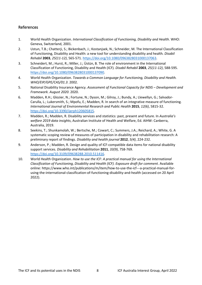## References

- 1. World Health Organization. *International Classification of Functioning, Disability and Health*. WHO: Geneva, Switzerland, 2001.
- 2. Ustun, T.B.; Chatterji, S.; Bickenbach, J.; Kostanjsek, N.; Schneider, M. The International Classification of Functioning, Disability and Health: a new tool for understanding disability and health*. Disabil Rehabil* **2003**, *25(11-12)*, 565-571. [https://doi.org/10.1080/0963828031000137063.](https://doi.org/10.1080/0963828031000137063)
- 3. Schneidert, M.; Hurst, R.; Miller, J.; Üstün, B. The role of environment in the International Classification of Functioning, Disability and Health (ICF)*. Disabil Rehabil* **2003**, *25(11-12)*, 588-595. [https://doi.org/10.1080/0963828031000137090.](https://doi.org/10.1080/0963828031000137090)
- 4. World Health Organization. *Towards a Common Language for Functioning, Disability and Health. WHO/EIP/GPE/CAS/01.3*. 2002.
- 5. National Disability Insurance Agency. *Assessment of Functional Capacity for NDIS Development and Framework. August 2020*. 2020.
- 6. Madden, R.H.; Glozier, N.; Fortune, N.; Dyson, M.; Gilroy, J.; Bundy, A.; Llewellyn, G.; Salvador-Carulla, L.; Lukersmith, S.; Mpofu, E.; Madden, R. In search of an integrative measure of functioning*. International Journal of Environmental Research and Public Health* **2015**, *12(6)*, 5815-32. [https://doi.org/10.3390/ijerph120605815.](https://doi.org/10.3390/ijerph120605815)
- 7. Madden, R.; Madden, R. Disability services and statistics: past, present and future. In *Australia's welfare 2019 data insights*, Australian Institute of Health and Welfare, Ed. AIHW: Canberra, Australia, 2019.
- 8. Seekins, T.; Shunkamolah, W.; Bertsche, M.; Cowart, C.; Summers, J.A.; Reichard, A.; White, G. A systematic scoping review of measures of participation in disability and rehabilitation research: A preliminary report of findings*. Disability and health journal* **2012**, *5(4)*, 224-232.
- 9. Anderson, P.; Madden, R. Design and quality of ICF-compatible data items for national disability support services*. Disability and Rehabilitation* **2011**, *33(9)*, 758-769. [https://doi.org/10.3109/09638288.2010.511416.](https://doi.org/10.3109/09638288.2010.511416)
- 10. World Health Organization. *How to use the ICF: A practical manual for using the International Classification of Functioning, Disability and Health (ICF). Exposure draft for comment*. Available online: https://www.who.int/publications/m/item/how-to-use-the-icf---a-practical-manual-forusing-the-international-classification-of-functioning-disability-and-health (accessed on 20 April 2022).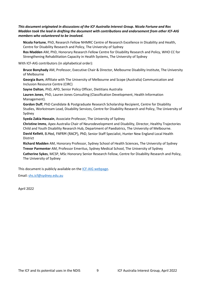#### *This document originated in discussions of the ICF Australia Interest Group. Nicola Fortune and Ros Madden took the lead in drafting the document with contributions and endorsement from other ICF-AIG members who volunteered to be involved.*

**Nicola Fortune**, PhD, Research Fellow NHMRC Centre of Research Excellence in Disability and Health, Centre for Disability Research and Policy, The University of Sydney

**Ros Madden** AM, PhD, Honorary Research Fellow Centre for Disability Research and Policy, WHO CC for Strengthening Rehabilitation Capacity in Health Systems, The University of Sydney

With ICF-AIG contributors (in alphabetical order):

**Bruce Bonyhady** AM, Professor, Executive Chair & Director, Melbourne Disability Institute, The University of Melbourne

**Georgia Burn**, Affiliate with The University of Melbourne and Scope (Australia) Communication and Inclusion Resource Centre (CIRC)

**Sayne Dalton**, PhD, APD, Senior Policy Officer, Dietitians Australia

**Lauren Jones**, PhD, Lauren Jones Consulting (Classification Development, Health Information Management).

**Gordon Duff**, PhD Candidate & Postgraduate Research Scholarship Recipient, Centre for Disability Studies, Workstream Lead, Disability Services, Centre for Disability Research and Policy, The University of Sydney

**Syeda Zakia Hossain**, Associate Professor, The University of Sydney

**Christine Imms**, Apex Australia Chair of Neurodevelopment and Disability, Director, Healthy Trajectories Child and Youth Disability Research Hub, Department of Paediatrics, The University of Melbourne.

**David Kellett**, B.Med, FAFRM (RACP), PhD, Senior Staff Specialist, Hunter New England Local Health **District** 

**Richard Madden** AM, Honorary Professor, Sydney School of Health Sciences, The University of Sydney **Trevor Parmenter** AM, Professor Emeritus, Sydney Medical School, The University of Sydney **Catherine Sykes**, MCSP, MSc Honorary Senior Research Fellow, Centre for Disability Research and Policy, The University of Sydney

This document is publicly available on the [ICF-AIG webpage.](https://www.sydney.edu.au/medicine-health/our-research/research-centres/who-collaborating-centre-for-strengthening-rehabilitation-capacity-in-health-systems/classifications-and-terminologies.html)

Email: [shs.icf@sydney.edu.au](mailto:shs.icf@sydney.edu.au) 

April 2022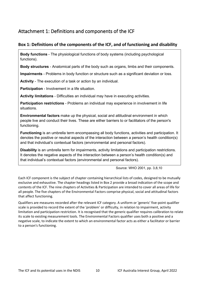# Attachment 1: Definitions and components of the ICF

# **Box 1: Definitions of the components of the ICF, and of functioning and disability**

**Body functions** - The physiological functions of body systems (including psychological functions).

**Body structures** - Anatomical parts of the body such as organs, limbs and their components.

**Impairments** - Problems in body function or structure such as a significant deviation or loss.

**Activity** - The execution of a task or action by an individual.

**Participation** - Involvement in a life situation.

**Activity limitations** - Difficulties an individual may have in executing activities.

**Participation restrictions** - Problems an individual may experience in involvement in life situations.

**Environmental factors** make up the physical, social and attitudinal environment in which people live and conduct their lives. These are either barriers to or facilitators of the person's functioning.

**Functioning** is an umbrella term encompassing all body functions, activities and participation. It denotes the positive or neutral aspects of the interaction between a person's health condition(s) and that individual's contextual factors (environmental and personal factors).

**Disability** is an umbrella term for impairments, activity limitations and participation restrictions. It denotes the negative aspects of the interaction between a person's health condition(s) and that individual's contextual factors (environmental and personal factors).

Source: WHO 2001, pp. 3,8,10

Each ICF component is the subject of chapter containing hierarchical lists of codes, designed to be mutually exclusive and exhaustive. The chapter headings listed in Box 2 provide a broad indication of the scope and contents of the ICF. The nine chapters of Activities & Participation are intended to cover all areas of life for all people. The five chapters of the Environmental Factors comprise physical, social and attitudinal factors that affect functioning.

Qualifiers are measures recorded after the relevant ICF category. A uniform or 'generic' five-point qualifier scale is provided to record the extent of the 'problem' or difficulty, in relation to impairment, activity limitation and participation restriction. It is recognised that the generic qualifier requires calibration to relate its scale to existing measurement tools. The Environmental Factors qualifier uses both a positive and a negative scale, to indicate the extent to which an environmental factor acts as either a facilitator or barrier to a person's functioning.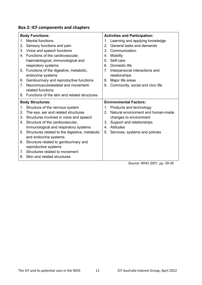|  | <b>Box 2: ICF components and chapters</b> |  |
|--|-------------------------------------------|--|
|--|-------------------------------------------|--|

| <b>Body Functions:</b>         |                                                   |               | <b>Activities and Participation:</b> |  |
|--------------------------------|---------------------------------------------------|---------------|--------------------------------------|--|
| 1.                             | <b>Mental functions</b>                           |               | 1. Learning and applying knowledge   |  |
| 2.                             | Sensory functions and pain                        | $\mathcal{P}$ | General tasks and demands            |  |
| 3.                             | Voice and speech functions                        | 3.            | Communication                        |  |
|                                | 4. Functions of the cardiovascular,               | 4.            | Mobility                             |  |
|                                | haematological, immunological and                 | 5.            | Self-care                            |  |
|                                | respiratory systems                               | 6.            | Domestic life                        |  |
| 5.                             | Functions of the digestive, metabolic,            | 7.            | Interpersonal interactions and       |  |
|                                | endocrine systems                                 |               | relationships                        |  |
| 6.                             | Genitourinary and reproductive functions          | 8.            | Major life areas                     |  |
| $7^{\circ}$                    | Neuromusculoskeletal and movement-                | 9.            | Community, social and civic life     |  |
|                                | related functions                                 |               |                                      |  |
|                                | 8. Functions of the skin and related structures   |               |                                      |  |
| <b>Body Structures:</b>        |                                                   |               | <b>Environmental Factors:</b>        |  |
|                                |                                                   |               |                                      |  |
| 1.                             | Structure of the nervous system                   |               | 1. Products and technology           |  |
| 2.                             | The eye, ear and related structures               | 2             | Natural environment and human-made   |  |
| 3.                             | Structures involved in voice and speech           |               | changes to environment               |  |
| 4.                             | Structure of the cardiovascular,                  |               | 3. Support and relationships         |  |
|                                | immunological and respiratory systems             | 4.            | Attitudes                            |  |
|                                | 5. Structures related to the digestive, metabolic | 5.            | Services, systems and policies       |  |
|                                | and endocrine systems                             |               |                                      |  |
| 6.                             | Structure related to genitourinary and            |               |                                      |  |
|                                | reproductive systems                              |               |                                      |  |
| $7_{\scriptscriptstyle{\sim}}$ | Structures related to movement                    |               |                                      |  |
| 8.                             | Skin and related structures                       |               |                                      |  |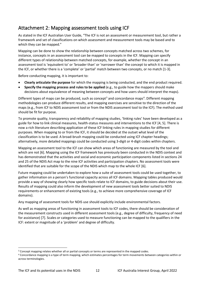# Attachment 2: Mapping assessment tools using ICF

As stated in the ICF Australian User Guide, "The ICF is not an assessment or measurement tool, but rather a framework and set of classifications on which assessment and measurement tools may be based and to which they can be mapped."

Mapping can be done to show the relationship between concepts matched across two schemes, for instance, concepts in an assessment tool can be mapped to concepts in the ICF. Mapping can specify different types of relationship between matched concepts, for example, whether the concept in an assessment tool is 'equivalent to' or 'broader than' or 'narrower than' the concept to which it is mapped in the ICF, or whether there is a 'complete' or 'partial' match between two concepts, or no match [1-3].

Before conducting mapping, it is important to:

- **Clearly articulate the purpose** for which the mapping is being conducted, and the end product required.
- **Specify the mapping process and rules to be applied** (e.g., to guide how the mappers should make decisions about equivalence of meaning between concepts and how users should interpret the maps).

Different types of maps can be produced, such as concept<sup>[3](#page-12-0)</sup> and concordance maps<sup>[4](#page-12-1)</sup>. Different mapping methodologies can produce different results, and mapping exercises are sensitive to the direction of the maps (e.g., from ICF to NDIS assessment tool or from the NDIS assessment tool to the ICF). The method used should be fit for purpose.

To promote quality, transparency and reliability of mapping studies, 'linking rules' have been developed as a guide for how to link clinical measures, health-status measures and interventions to the ICF [4, 5]. There is now a rich literature describing application of these ICF linking rules in mapping studies for different purposes. When mapping to or from the ICF, it should be decided at the outset what level of the classification is to be used. A broad-brush mapping could be conducted using ICF chapter headings; alternatively, more detailed mappings could be conducted using 3-digit or 4-digit codes within chapters.

Mapping an assessment tool to the ICF can show which areas of functioning are measured by the tool and which are not [6]. Mapping using the ICF framework has previously been conducted in the NDIS context and has demonstrated that the activities and social and economic participation components listed in sections 24 and 25 of the NDIS Act map to the nine ICF activities and participation chapters. No assessment tools were identified that are suitable for the scope of the NDIS which map to the whole ICF [6].

Future mapping could be undertaken to explore how a suite of assessment tools could be used together, to gather information on a person's functional capacity across all ICF domains. Mapping tables produced would provide a way of showing clearly how specific tools relate to ICF domains, to guide decisions about their use. Results of mapping could also inform the development of new assessment tools better suited to NDIS requirements or enhancement of existing tools (e.g., to achieve more comprehensive coverage of ICF domains).

Any mapping of assessment tools for NDIS use should explicitly include environmental factors.

As well as mapping areas of functioning in assessment tools to ICF codes, there should be consideration of the measurement constructs used in different assessment tools (e.g., degree of difficulty, frequency of need for assistance) [7]. Scales or categories used to measure functioning can be mapped to the qualifiers in the ICF: extent or magnitude of a 'problem' and degree of difficulty.

<span id="page-12-0"></span><sup>&</sup>lt;sup>3</sup> Concept mapping relates whether all or partial concepts or terms are represented in the mapped codes.

<span id="page-12-1"></span><sup>4</sup> Concordance mapping is a type of term mapping, which estimates percentages for term movements between categories within or across terminologies.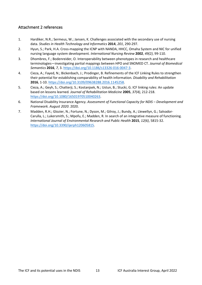## Attachment 2 references

- 1. Hardiker, N.R.; Sermeus, W.; Jansen, K. Challenges associated with the secondary use of nursing data*. Studies in Health Technology and Informatics* **2014**, *201*, 290-297.
- 2. Hyun, S.; Park, H.A. Cross-mapping the ICNP with NANDA, HHCC, Omaha System and NIC for unified nursing language system development*. International Nursing Review* **2002**, *49(2)*, 99-110.
- 3. Dhombres, F.; Bodenreider, O. Interoperability between phenotypes in research and healthcare terminologies—investigating partial mappings between HPO and SNOMED CT*. Journal of Biomedical Semantics* **2016**, *7*, 3. [https://doi.org/10.1186/s13326-016-0047-3.](https://doi.org/10.1186/s13326-016-0047-3)
- 4. Cieza, A.; Fayed, N.; Bickenbach, J.; Prodinger, B. Refinements of the ICF Linking Rules to strengthen their potential for establishing comparability of health information*. Disability and Rehabilitation* **2016**, 1-10. [https://doi.org/10.3109/09638288.2016.1145258.](https://doi.org/10.3109/09638288.2016.1145258)
- 5. Cieza, A.; Geyh, S.; Chatterji, S.; Kostanjsek, N.; Ustun, B.; Stucki, G. ICF linking rules: An update based on lessons learned*. Journal of Rehabilitation Medicine* **2005**, *37(4)*, 212-218. [https://doi.org/10.1080/16501970510040263.](https://doi.org/10.1080/16501970510040263)
- 6. National Disability Insurance Agency. *Assessment of Functional Capacity for NDIS Development and Framework. August 2020*. 2020.
- 7. Madden, R.H.; Glozier, N.; Fortune, N.; Dyson, M.; Gilroy, J.; Bundy, A.; Llewellyn, G.; Salvador-Carulla, L.; Lukersmith, S.; Mpofu, E.; Madden, R. In search of an integrative measure of functioning*. International Journal of Environmental Research and Public Health* **2015**, *12(6)*, 5815-32. [https://doi.org/10.3390/ijerph120605815.](https://doi.org/10.3390/ijerph120605815)